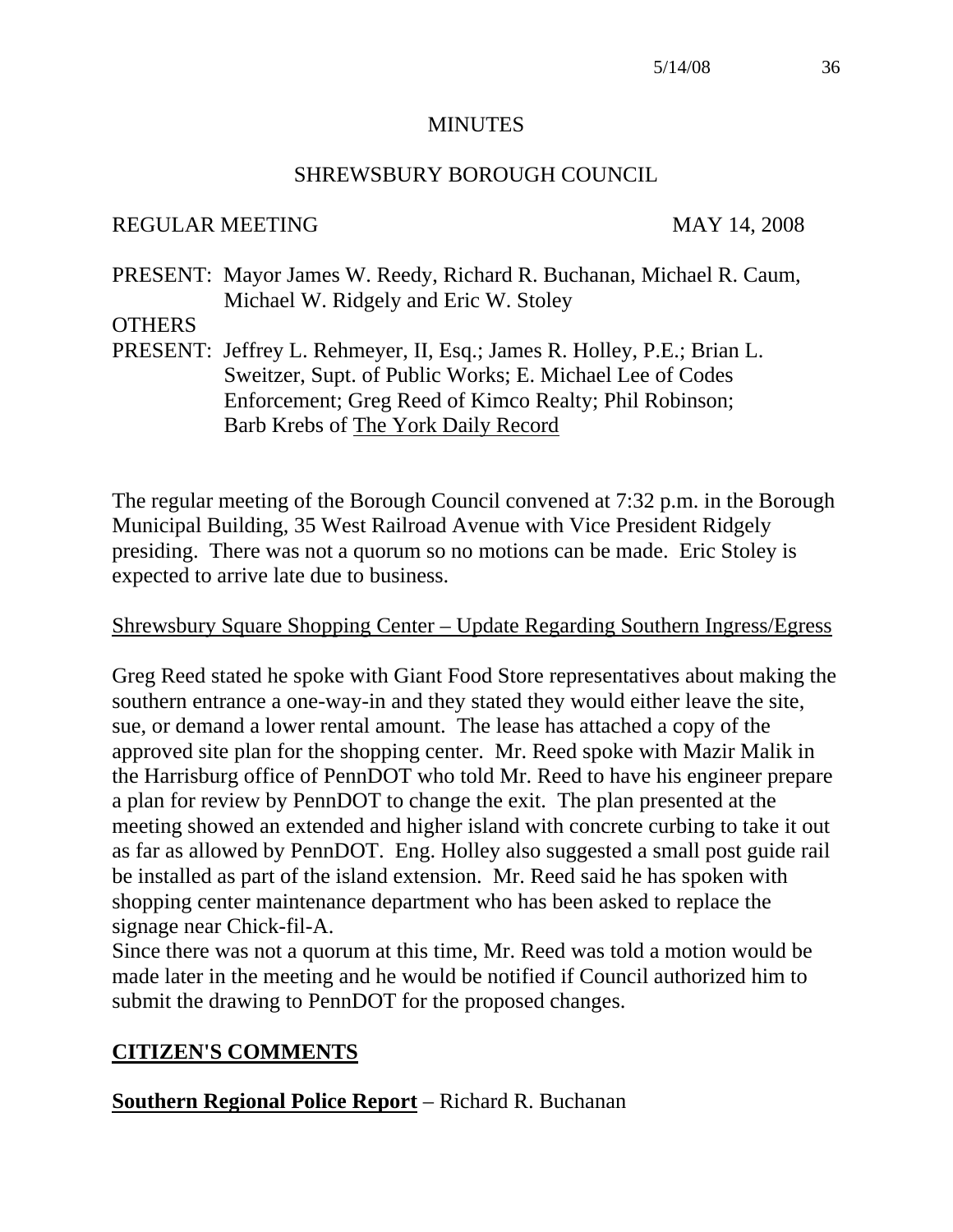#### **MINUTES**

#### SHREWSBURY BOROUGH COUNCIL

#### REGULAR MEETING MAY 14, 2008

PRESENT: Mayor James W. Reedy, Richard R. Buchanan, Michael R. Caum, Michael W. Ridgely and Eric W. Stoley

#### **OTHERS**

PRESENT: Jeffrey L. Rehmeyer, II, Esq.; James R. Holley, P.E.; Brian L. Sweitzer, Supt. of Public Works; E. Michael Lee of Codes Enforcement; Greg Reed of Kimco Realty; Phil Robinson; Barb Krebs of The York Daily Record

The regular meeting of the Borough Council convened at 7:32 p.m. in the Borough Municipal Building, 35 West Railroad Avenue with Vice President Ridgely presiding. There was not a quorum so no motions can be made. Eric Stoley is expected to arrive late due to business.

#### Shrewsbury Square Shopping Center – Update Regarding Southern Ingress/Egress

Greg Reed stated he spoke with Giant Food Store representatives about making the southern entrance a one-way-in and they stated they would either leave the site, sue, or demand a lower rental amount. The lease has attached a copy of the approved site plan for the shopping center. Mr. Reed spoke with Mazir Malik in the Harrisburg office of PennDOT who told Mr. Reed to have his engineer prepare a plan for review by PennDOT to change the exit. The plan presented at the meeting showed an extended and higher island with concrete curbing to take it out as far as allowed by PennDOT. Eng. Holley also suggested a small post guide rail be installed as part of the island extension. Mr. Reed said he has spoken with shopping center maintenance department who has been asked to replace the signage near Chick-fil-A.

Since there was not a quorum at this time, Mr. Reed was told a motion would be made later in the meeting and he would be notified if Council authorized him to submit the drawing to PennDOT for the proposed changes.

#### **CITIZEN'S COMMENTS**

#### **Southern Regional Police Report** – Richard R. Buchanan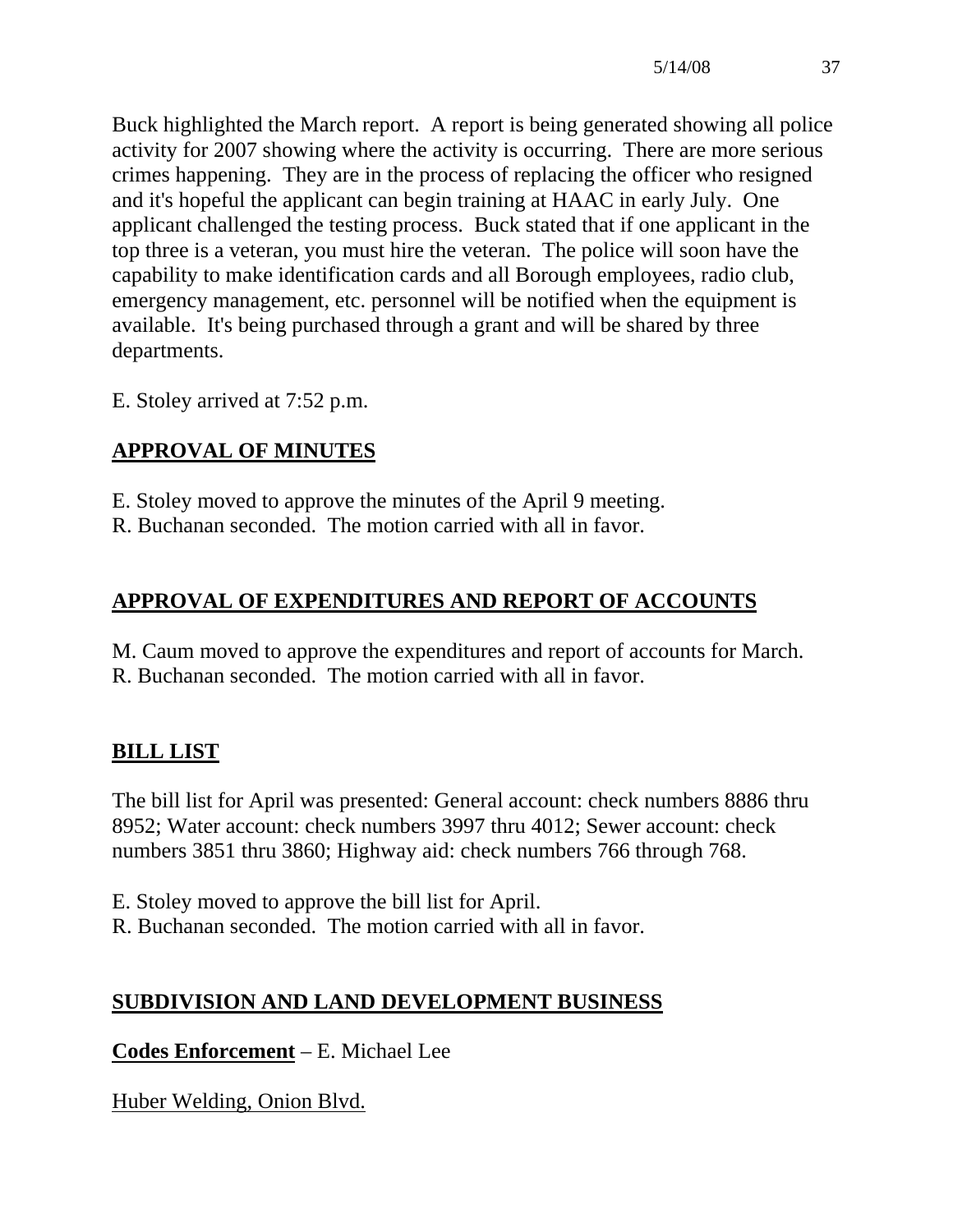Buck highlighted the March report. A report is being generated showing all police activity for 2007 showing where the activity is occurring. There are more serious crimes happening. They are in the process of replacing the officer who resigned and it's hopeful the applicant can begin training at HAAC in early July. One applicant challenged the testing process. Buck stated that if one applicant in the top three is a veteran, you must hire the veteran. The police will soon have the capability to make identification cards and all Borough employees, radio club, emergency management, etc. personnel will be notified when the equipment is available. It's being purchased through a grant and will be shared by three departments.

E. Stoley arrived at 7:52 p.m.

# **APPROVAL OF MINUTES**

E. Stoley moved to approve the minutes of the April 9 meeting.

R. Buchanan seconded. The motion carried with all in favor.

# **APPROVAL OF EXPENDITURES AND REPORT OF ACCOUNTS**

M. Caum moved to approve the expenditures and report of accounts for March. R. Buchanan seconded. The motion carried with all in favor.

# **BILL LIST**

The bill list for April was presented: General account: check numbers 8886 thru 8952; Water account: check numbers 3997 thru 4012; Sewer account: check numbers 3851 thru 3860; Highway aid: check numbers 766 through 768.

- E. Stoley moved to approve the bill list for April.
- R. Buchanan seconded. The motion carried with all in favor.

# **SUBDIVISION AND LAND DEVELOPMENT BUSINESS**

**Codes Enforcement** – E. Michael Lee

Huber Welding, Onion Blvd.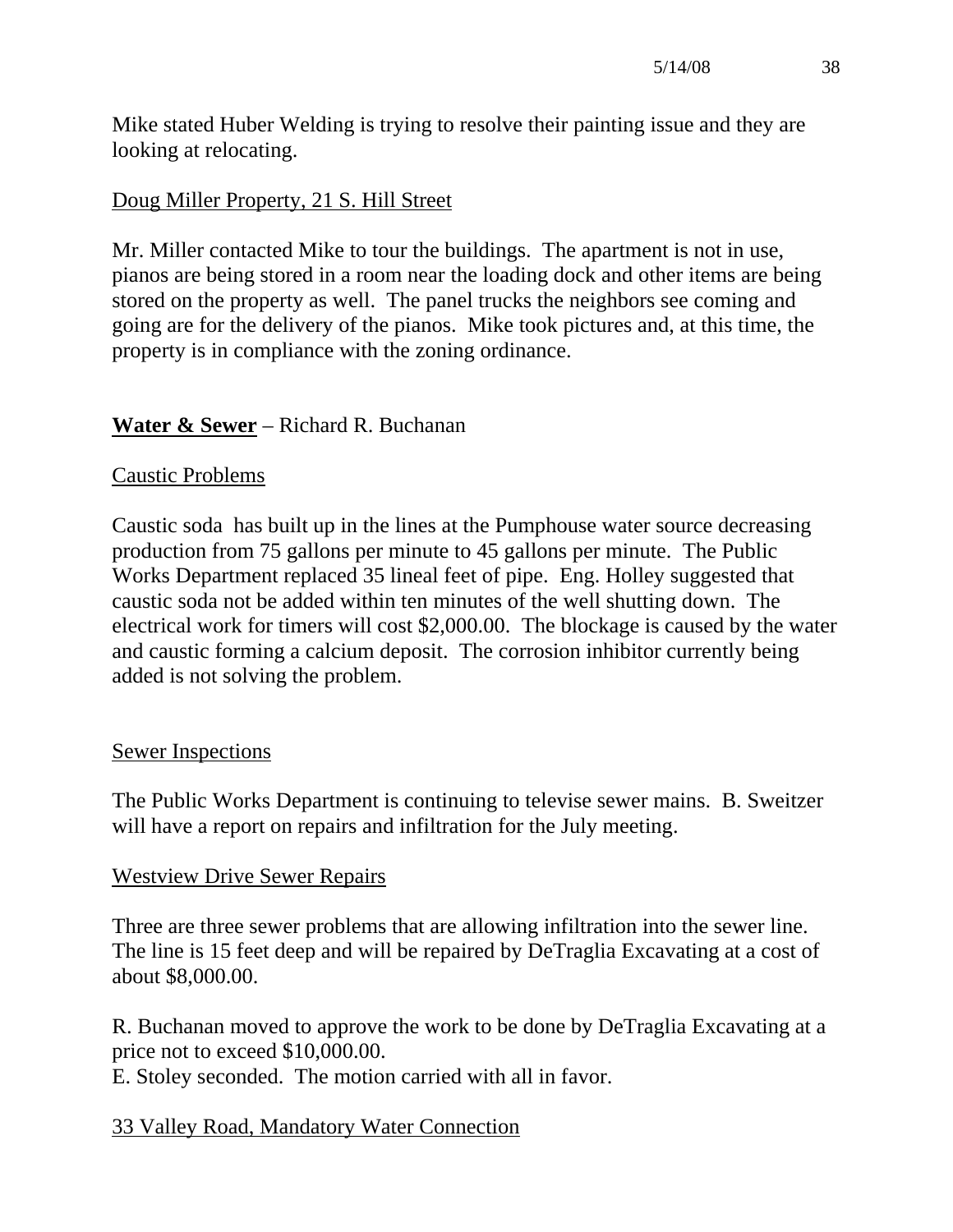Mike stated Huber Welding is trying to resolve their painting issue and they are looking at relocating.

# Doug Miller Property, 21 S. Hill Street

Mr. Miller contacted Mike to tour the buildings. The apartment is not in use, pianos are being stored in a room near the loading dock and other items are being stored on the property as well. The panel trucks the neighbors see coming and going are for the delivery of the pianos. Mike took pictures and, at this time, the property is in compliance with the zoning ordinance.

# **Water & Sewer** – Richard R. Buchanan

#### Caustic Problems

Caustic soda has built up in the lines at the Pumphouse water source decreasing production from 75 gallons per minute to 45 gallons per minute. The Public Works Department replaced 35 lineal feet of pipe. Eng. Holley suggested that caustic soda not be added within ten minutes of the well shutting down. The electrical work for timers will cost \$2,000.00. The blockage is caused by the water and caustic forming a calcium deposit. The corrosion inhibitor currently being added is not solving the problem.

#### Sewer Inspections

The Public Works Department is continuing to televise sewer mains. B. Sweitzer will have a report on repairs and infiltration for the July meeting.

#### Westview Drive Sewer Repairs

Three are three sewer problems that are allowing infiltration into the sewer line. The line is 15 feet deep and will be repaired by DeTraglia Excavating at a cost of about \$8,000.00.

R. Buchanan moved to approve the work to be done by DeTraglia Excavating at a price not to exceed \$10,000.00.

E. Stoley seconded. The motion carried with all in favor.

#### 33 Valley Road, Mandatory Water Connection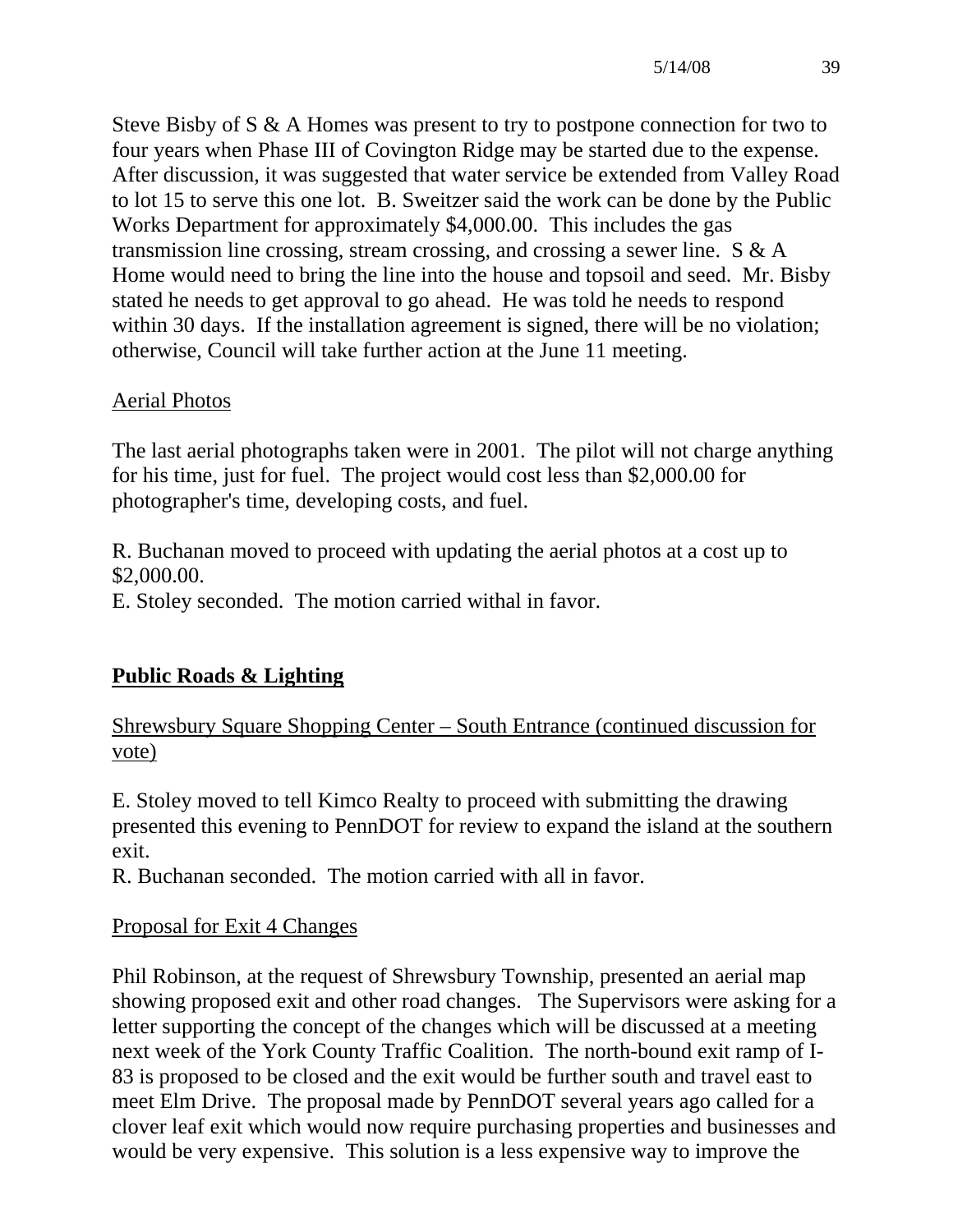Steve Bisby of S & A Homes was present to try to postpone connection for two to four years when Phase III of Covington Ridge may be started due to the expense. After discussion, it was suggested that water service be extended from Valley Road to lot 15 to serve this one lot. B. Sweitzer said the work can be done by the Public Works Department for approximately \$4,000.00. This includes the gas transmission line crossing, stream crossing, and crossing a sewer line. S & A Home would need to bring the line into the house and topsoil and seed. Mr. Bisby stated he needs to get approval to go ahead. He was told he needs to respond within 30 days. If the installation agreement is signed, there will be no violation; otherwise, Council will take further action at the June 11 meeting.

# Aerial Photos

The last aerial photographs taken were in 2001. The pilot will not charge anything for his time, just for fuel. The project would cost less than \$2,000.00 for photographer's time, developing costs, and fuel.

R. Buchanan moved to proceed with updating the aerial photos at a cost up to \$2,000.00.

E. Stoley seconded. The motion carried withal in favor.

# **Public Roads & Lighting**

Shrewsbury Square Shopping Center – South Entrance (continued discussion for vote)

E. Stoley moved to tell Kimco Realty to proceed with submitting the drawing presented this evening to PennDOT for review to expand the island at the southern exit.

R. Buchanan seconded. The motion carried with all in favor.

# Proposal for Exit 4 Changes

Phil Robinson, at the request of Shrewsbury Township, presented an aerial map showing proposed exit and other road changes. The Supervisors were asking for a letter supporting the concept of the changes which will be discussed at a meeting next week of the York County Traffic Coalition. The north-bound exit ramp of I-83 is proposed to be closed and the exit would be further south and travel east to meet Elm Drive. The proposal made by PennDOT several years ago called for a clover leaf exit which would now require purchasing properties and businesses and would be very expensive. This solution is a less expensive way to improve the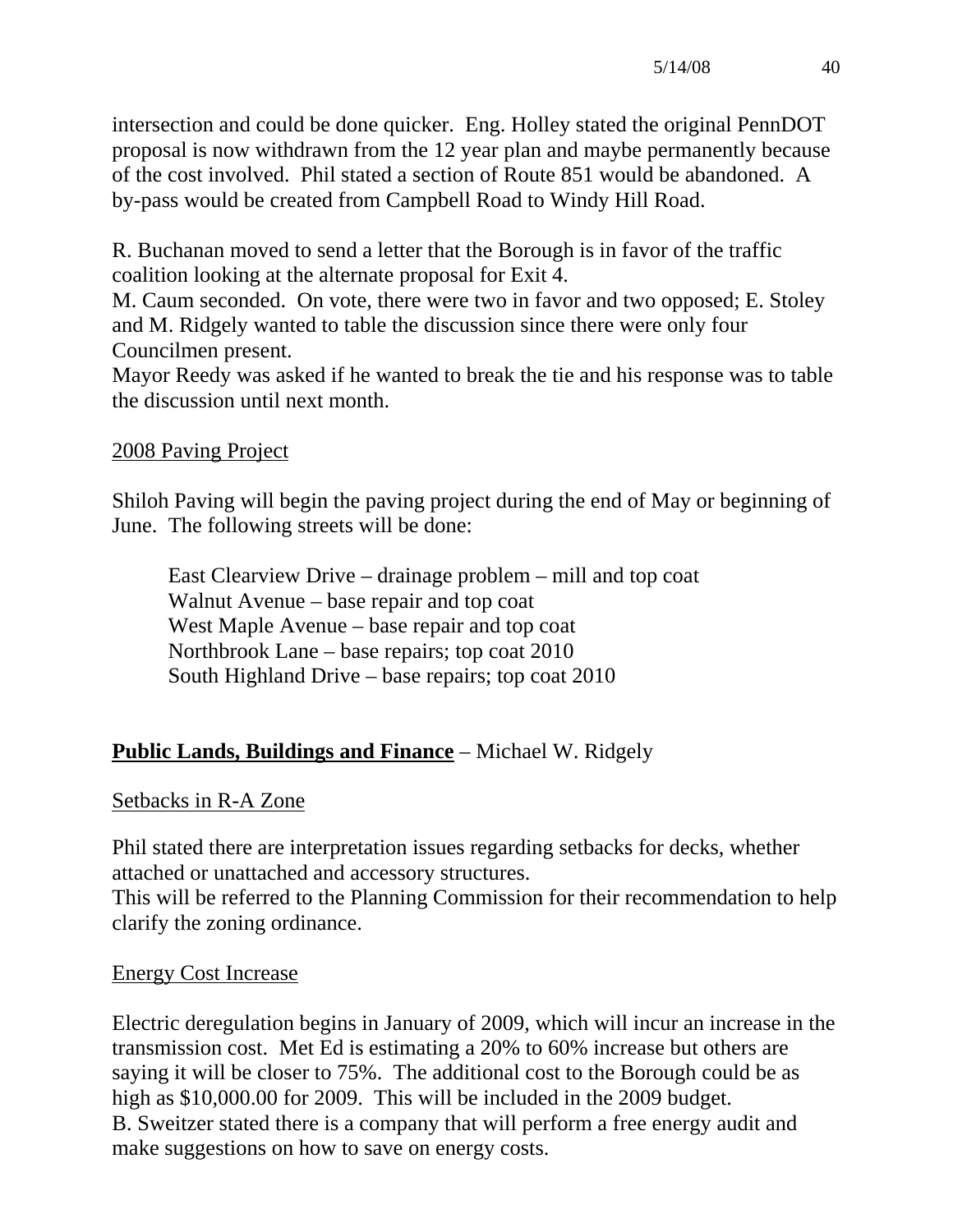intersection and could be done quicker. Eng. Holley stated the original PennDOT proposal is now withdrawn from the 12 year plan and maybe permanently because of the cost involved. Phil stated a section of Route 851 would be abandoned. A by-pass would be created from Campbell Road to Windy Hill Road.

R. Buchanan moved to send a letter that the Borough is in favor of the traffic coalition looking at the alternate proposal for Exit 4.

M. Caum seconded. On vote, there were two in favor and two opposed; E. Stoley and M. Ridgely wanted to table the discussion since there were only four Councilmen present.

Mayor Reedy was asked if he wanted to break the tie and his response was to table the discussion until next month.

# 2008 Paving Project

Shiloh Paving will begin the paving project during the end of May or beginning of June. The following streets will be done:

 East Clearview Drive – drainage problem – mill and top coat Walnut Avenue – base repair and top coat West Maple Avenue – base repair and top coat Northbrook Lane – base repairs; top coat 2010 South Highland Drive – base repairs; top coat 2010

# **Public Lands, Buildings and Finance** – Michael W. Ridgely

#### Setbacks in R-A Zone

Phil stated there are interpretation issues regarding setbacks for decks, whether attached or unattached and accessory structures.

This will be referred to the Planning Commission for their recommendation to help clarify the zoning ordinance.

#### Energy Cost Increase

Electric deregulation begins in January of 2009, which will incur an increase in the transmission cost. Met Ed is estimating a 20% to 60% increase but others are saying it will be closer to 75%. The additional cost to the Borough could be as high as \$10,000.00 for 2009. This will be included in the 2009 budget. B. Sweitzer stated there is a company that will perform a free energy audit and make suggestions on how to save on energy costs.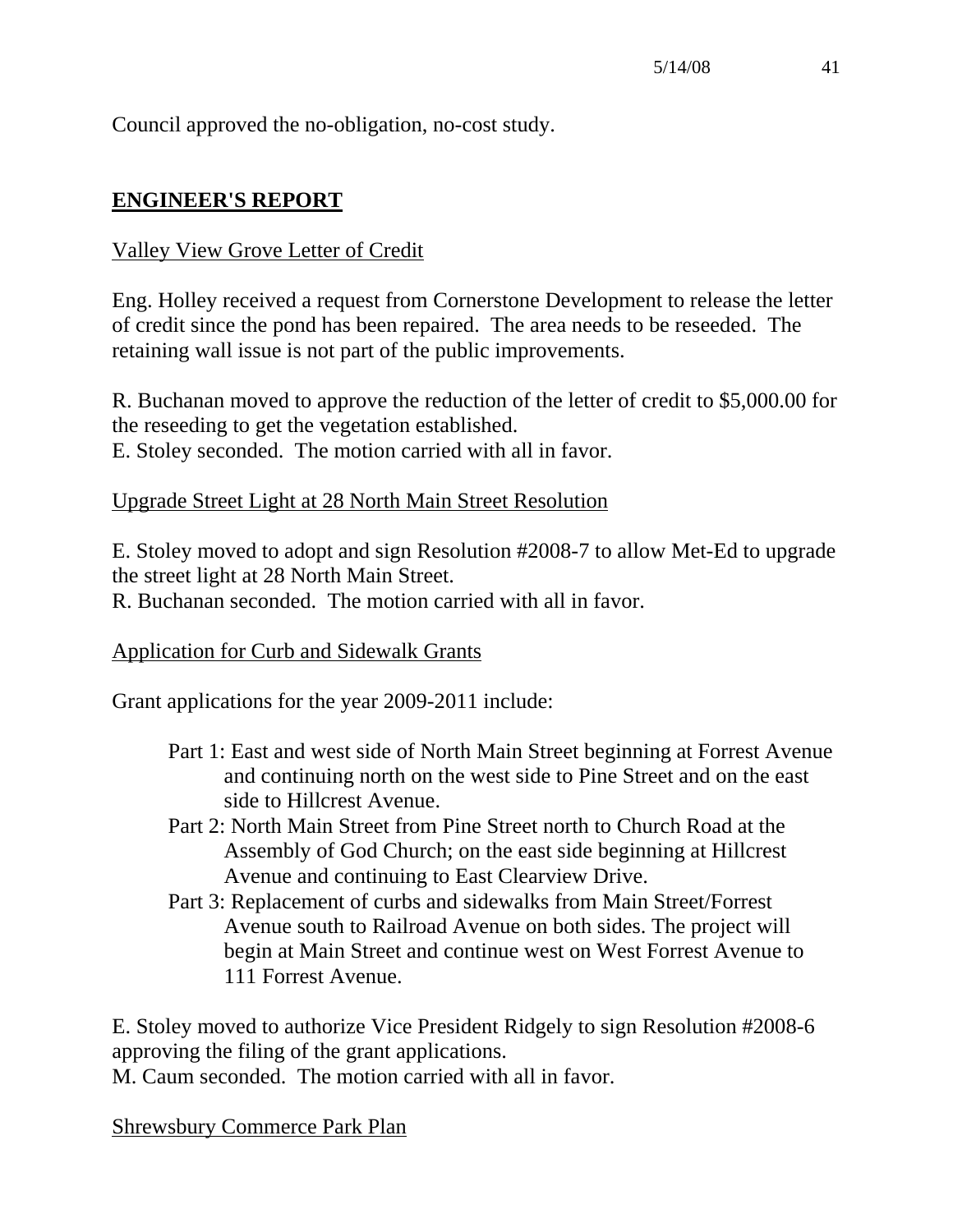Council approved the no-obligation, no-cost study.

# **ENGINEER'S REPORT**

### Valley View Grove Letter of Credit

Eng. Holley received a request from Cornerstone Development to release the letter of credit since the pond has been repaired. The area needs to be reseeded. The retaining wall issue is not part of the public improvements.

R. Buchanan moved to approve the reduction of the letter of credit to \$5,000.00 for the reseeding to get the vegetation established. E. Stoley seconded. The motion carried with all in favor.

#### Upgrade Street Light at 28 North Main Street Resolution

E. Stoley moved to adopt and sign Resolution #2008-7 to allow Met-Ed to upgrade the street light at 28 North Main Street.

R. Buchanan seconded. The motion carried with all in favor.

#### Application for Curb and Sidewalk Grants

Grant applications for the year 2009-2011 include:

- Part 1: East and west side of North Main Street beginning at Forrest Avenue and continuing north on the west side to Pine Street and on the east side to Hillcrest Avenue.
- Part 2: North Main Street from Pine Street north to Church Road at the Assembly of God Church; on the east side beginning at Hillcrest Avenue and continuing to East Clearview Drive.
- Part 3: Replacement of curbs and sidewalks from Main Street/Forrest Avenue south to Railroad Avenue on both sides. The project will begin at Main Street and continue west on West Forrest Avenue to 111 Forrest Avenue.

E. Stoley moved to authorize Vice President Ridgely to sign Resolution #2008-6 approving the filing of the grant applications.

M. Caum seconded. The motion carried with all in favor.

Shrewsbury Commerce Park Plan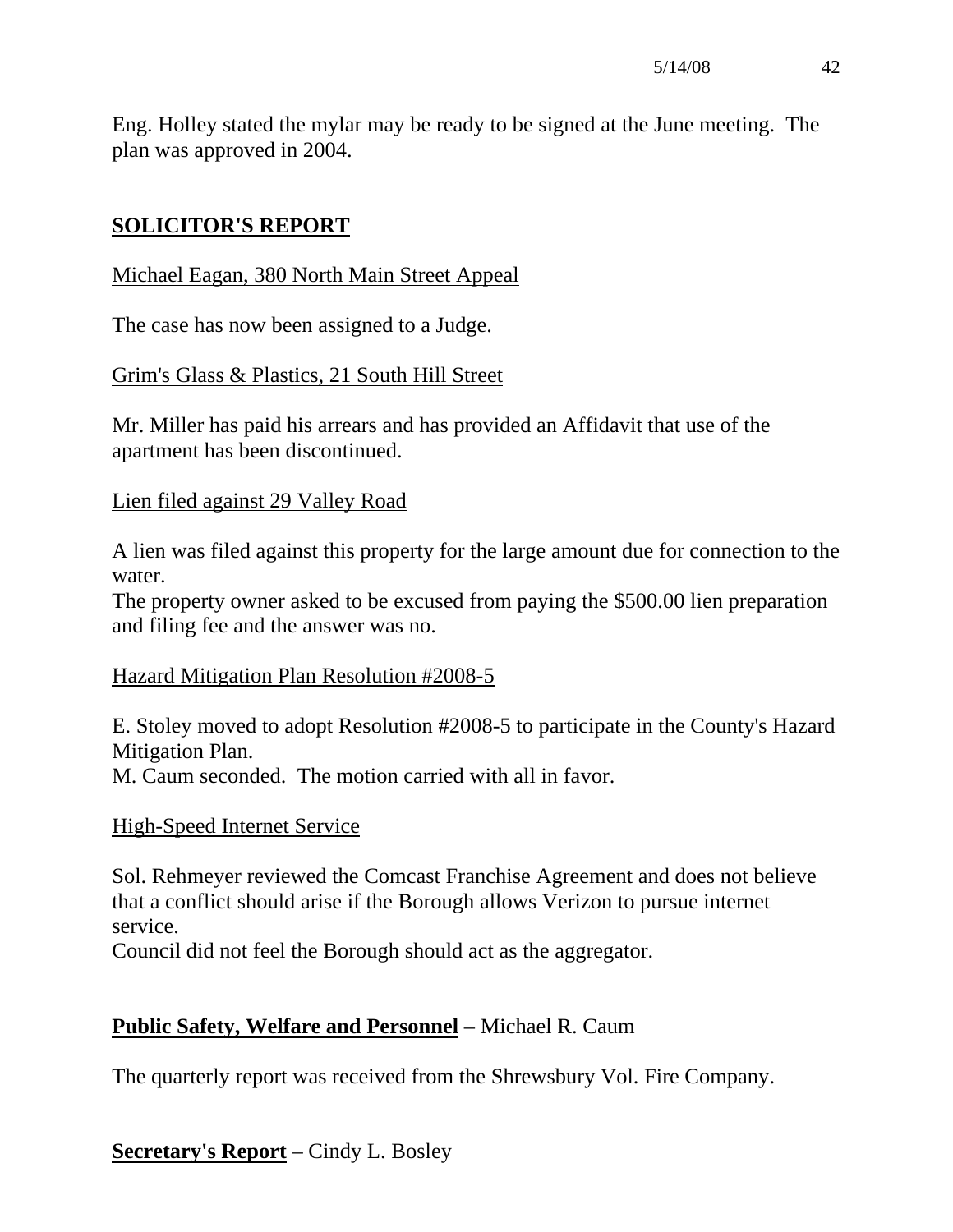Eng. Holley stated the mylar may be ready to be signed at the June meeting. The plan was approved in 2004.

# **SOLICITOR'S REPORT**

# Michael Eagan, 380 North Main Street Appeal

The case has now been assigned to a Judge.

# Grim's Glass & Plastics, 21 South Hill Street

Mr. Miller has paid his arrears and has provided an Affidavit that use of the apartment has been discontinued.

#### Lien filed against 29 Valley Road

A lien was filed against this property for the large amount due for connection to the water.

The property owner asked to be excused from paying the \$500.00 lien preparation and filing fee and the answer was no.

# Hazard Mitigation Plan Resolution #2008-5

E. Stoley moved to adopt Resolution #2008-5 to participate in the County's Hazard Mitigation Plan.

M. Caum seconded. The motion carried with all in favor.

# High-Speed Internet Service

Sol. Rehmeyer reviewed the Comcast Franchise Agreement and does not believe that a conflict should arise if the Borough allows Verizon to pursue internet service.

Council did not feel the Borough should act as the aggregator.

# **Public Safety, Welfare and Personnel** – Michael R. Caum

The quarterly report was received from the Shrewsbury Vol. Fire Company.

# **Secretary's Report** – Cindy L. Bosley